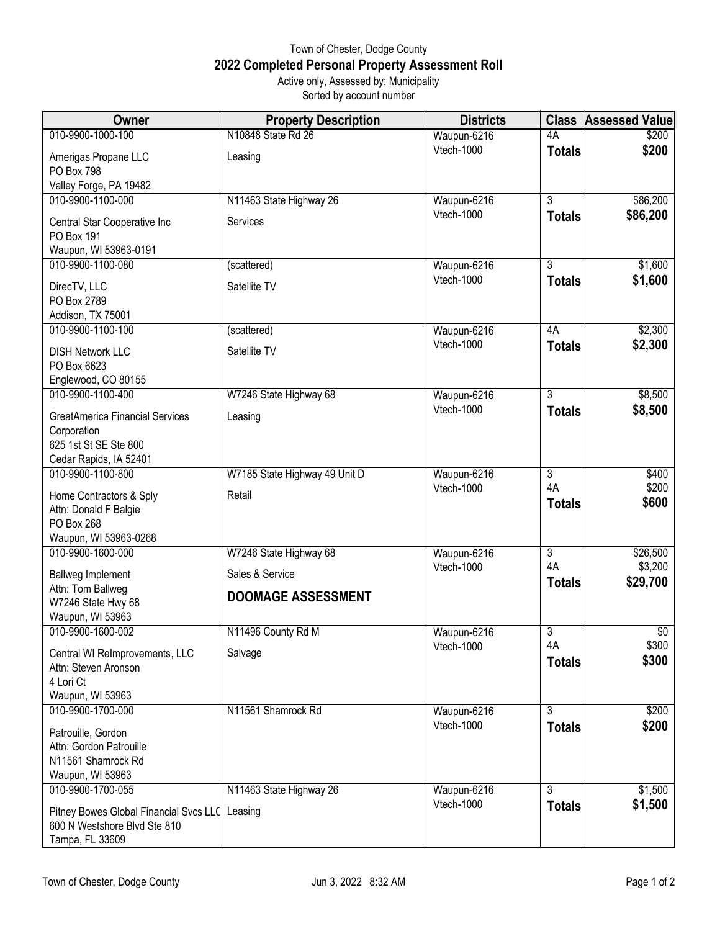## Town of Chester, Dodge County **2022 Completed Personal Property Assessment Roll** Active only, Assessed by: Municipality

Sorted by account number

| <b>Owner</b>                                                                                             | <b>Property Description</b>                  | <b>Districts</b>          | <b>Class</b>        | <b>Assessed Value</b> |
|----------------------------------------------------------------------------------------------------------|----------------------------------------------|---------------------------|---------------------|-----------------------|
| 010-9900-1000-100                                                                                        | N10848 State Rd 26                           | Waupun-6216               | 4A                  | \$200                 |
| Amerigas Propane LLC<br>PO Box 798                                                                       | Leasing                                      | Vtech-1000                | <b>Totals</b>       | \$200                 |
| Valley Forge, PA 19482                                                                                   |                                              |                           |                     |                       |
| 010-9900-1100-000                                                                                        | N11463 State Highway 26                      | Waupun-6216               | $\overline{3}$      | \$86,200              |
| Central Star Cooperative Inc<br>PO Box 191                                                               | Services                                     | Vtech-1000                | <b>Totals</b>       | \$86,200              |
| Waupun, WI 53963-0191                                                                                    |                                              |                           |                     |                       |
| 010-9900-1100-080                                                                                        | (scattered)                                  | Waupun-6216<br>Vtech-1000 | $\overline{3}$      | \$1,600               |
| DirecTV, LLC<br>PO Box 2789<br>Addison, TX 75001                                                         | Satellite TV                                 |                           | <b>Totals</b>       | \$1,600               |
| 010-9900-1100-100                                                                                        | (scattered)                                  | Waupun-6216               | 4A                  | \$2,300               |
| <b>DISH Network LLC</b><br>PO Box 6623<br>Englewood, CO 80155                                            | Satellite TV                                 | Vtech-1000                | <b>Totals</b>       | \$2,300               |
| 010-9900-1100-400                                                                                        | W7246 State Highway 68                       | Waupun-6216               | $\overline{3}$      | \$8,500               |
| <b>GreatAmerica Financial Services</b><br>Corporation<br>625 1st St SE Ste 800<br>Cedar Rapids, IA 52401 | Leasing                                      | Vtech-1000                | <b>Totals</b>       | \$8,500               |
| 010-9900-1100-800                                                                                        | W7185 State Highway 49 Unit D                | Waupun-6216               | 3                   | \$400                 |
| Home Contractors & Sply<br>Attn: Donald F Balgie<br>PO Box 268<br>Waupun, WI 53963-0268                  | Retail                                       | Vtech-1000                | 4A<br><b>Totals</b> | \$200<br>\$600        |
| 010-9900-1600-000                                                                                        | W7246 State Highway 68                       | Waupun-6216               | $\overline{3}$      | \$26,500              |
| <b>Ballweg Implement</b><br>Attn: Tom Ballweg<br>W7246 State Hwy 68<br>Waupun, WI 53963                  | Sales & Service<br><b>DOOMAGE ASSESSMENT</b> | Vtech-1000                | 4A<br><b>Totals</b> | \$3,200<br>\$29,700   |
| 010-9900-1600-002                                                                                        | N11496 County Rd M                           | Waupun-6216               | $\overline{3}$      | $\overline{50}$       |
| Central WI ReImprovements, LLC<br>Attn: Steven Aronson<br>4 Lori Ct<br>Waupun, WI 53963                  | Salvage                                      | Vtech-1000                | 4A<br><b>Totals</b> | \$300<br>\$300        |
| 010-9900-1700-000                                                                                        | N11561 Shamrock Rd                           | Waupun-6216               | $\overline{3}$      | \$200                 |
| Patrouille, Gordon<br>Attn: Gordon Patrouille<br>N11561 Shamrock Rd<br>Waupun, WI 53963                  |                                              | Vtech-1000                | <b>Totals</b>       | \$200                 |
| 010-9900-1700-055                                                                                        | N11463 State Highway 26                      | Waupun-6216               | 3                   | \$1,500               |
| Pitney Bowes Global Financial Svcs LLO<br>600 N Westshore Blvd Ste 810<br>Tampa, FL 33609                | Leasing                                      | Vtech-1000                | <b>Totals</b>       | \$1,500               |